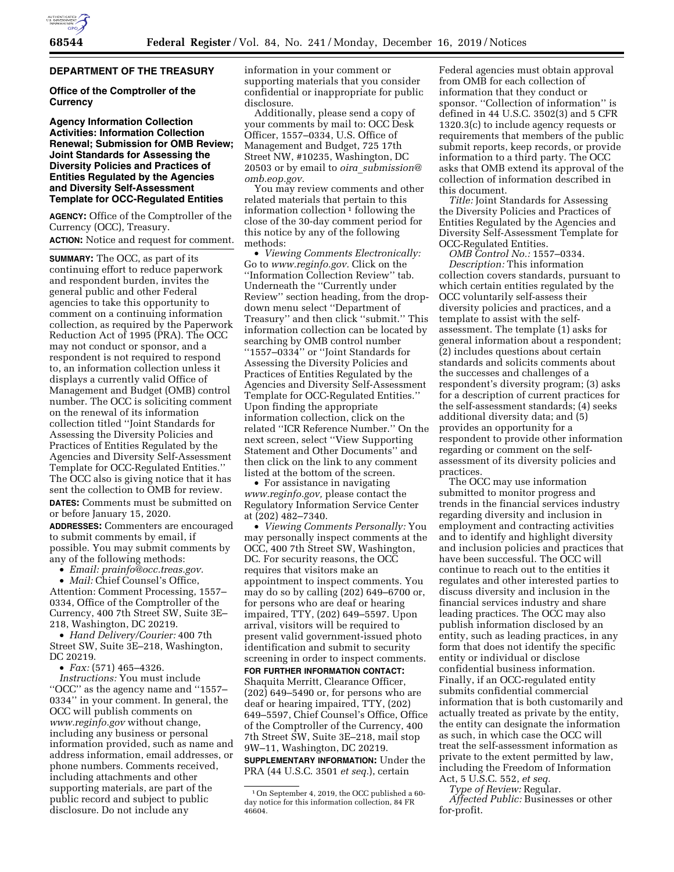# **DEPARTMENT OF THE TREASURY**

## **Office of the Comptroller of the Currency**

**Agency Information Collection Activities: Information Collection Renewal; Submission for OMB Review; Joint Standards for Assessing the Diversity Policies and Practices of Entities Regulated by the Agencies and Diversity Self-Assessment Template for OCC-Regulated Entities** 

**AGENCY:** Office of the Comptroller of the Currency (OCC), Treasury. **ACTION:** Notice and request for comment.

**SUMMARY:** The OCC, as part of its continuing effort to reduce paperwork and respondent burden, invites the general public and other Federal agencies to take this opportunity to comment on a continuing information collection, as required by the Paperwork Reduction Act of 1995 (PRA). The OCC may not conduct or sponsor, and a respondent is not required to respond to, an information collection unless it displays a currently valid Office of Management and Budget (OMB) control number. The OCC is soliciting comment on the renewal of its information collection titled ''Joint Standards for Assessing the Diversity Policies and Practices of Entities Regulated by the Agencies and Diversity Self-Assessment Template for OCC-Regulated Entities.'' The OCC also is giving notice that it has sent the collection to OMB for review.

**DATES:** Comments must be submitted on or before January 15, 2020.

**ADDRESSES:** Commenters are encouraged to submit comments by email, if possible. You may submit comments by any of the following methods:

• *Email: [prainfo@occ.treas.gov.](mailto:prainfo@occ.treas.gov)* 

• *Mail:* Chief Counsel's Office, Attention: Comment Processing, 1557– 0334, Office of the Comptroller of the Currency, 400 7th Street SW, Suite 3E– 218, Washington, DC 20219.

• *Hand Delivery/Courier:* 400 7th Street SW, Suite 3E–218, Washington, DC 20219.

• *Fax:* (571) 465–4326.

*Instructions:* You must include ''OCC'' as the agency name and ''1557– 0334'' in your comment. In general, the OCC will publish comments on *[www.reginfo.gov](http://www.reginfo.gov)* without change, including any business or personal information provided, such as name and address information, email addresses, or phone numbers. Comments received, including attachments and other supporting materials, are part of the public record and subject to public disclosure. Do not include any

information in your comment or supporting materials that you consider confidential or inappropriate for public disclosure.

Additionally, please send a copy of your comments by mail to: OCC Desk Officer, 1557–0334, U.S. Office of Management and Budget, 725 17th Street NW, #10235, Washington, DC 20503 or by email to *oira*\_*[submission@](mailto:oira_submission@omb.eop.gov) [omb.eop.gov.](mailto:oira_submission@omb.eop.gov)* 

You may review comments and other related materials that pertain to this information collection  $1$  following the close of the 30-day comment period for this notice by any of the following methods:

• *Viewing Comments Electronically:*  Go to *[www.reginfo.gov.](http://www.reginfo.gov)* Click on the ''Information Collection Review'' tab. Underneath the ''Currently under Review'' section heading, from the dropdown menu select ''Department of Treasury'' and then click ''submit.'' This information collection can be located by searching by OMB control number ''1557–0334'' or ''Joint Standards for Assessing the Diversity Policies and Practices of Entities Regulated by the Agencies and Diversity Self-Assessment Template for OCC-Regulated Entities.'' Upon finding the appropriate information collection, click on the related ''ICR Reference Number.'' On the next screen, select ''View Supporting Statement and Other Documents'' and then click on the link to any comment listed at the bottom of the screen.

• For assistance in navigating *[www.reginfo.gov,](http://www.reginfo.gov)* please contact the Regulatory Information Service Center at (202) 482–7340.

• *Viewing Comments Personally:* You may personally inspect comments at the OCC, 400 7th Street SW, Washington, DC. For security reasons, the OCC requires that visitors make an appointment to inspect comments. You may do so by calling (202) 649–6700 or, for persons who are deaf or hearing impaired, TTY, (202) 649–5597. Upon arrival, visitors will be required to present valid government-issued photo identification and submit to security screening in order to inspect comments.

**FOR FURTHER INFORMATION CONTACT:**  Shaquita Merritt, Clearance Officer, (202) 649–5490 or, for persons who are deaf or hearing impaired, TTY, (202) 649–5597, Chief Counsel's Office, Office of the Comptroller of the Currency, 400 7th Street SW, Suite 3E–218, mail stop 9W–11, Washington, DC 20219.

**SUPPLEMENTARY INFORMATION:** Under the PRA (44 U.S.C. 3501 *et seq.*), certain

Federal agencies must obtain approval from OMB for each collection of information that they conduct or sponsor. "Collection of information" is defined in 44 U.S.C. 3502(3) and 5 CFR 1320.3(c) to include agency requests or requirements that members of the public submit reports, keep records, or provide information to a third party. The OCC asks that OMB extend its approval of the collection of information described in this document.

*Title:* Joint Standards for Assessing the Diversity Policies and Practices of Entities Regulated by the Agencies and Diversity Self-Assessment Template for OCC-Regulated Entities.

*OMB Control No.:* 1557–0334. *Description:* This information collection covers standards, pursuant to which certain entities regulated by the OCC voluntarily self-assess their diversity policies and practices, and a template to assist with the selfassessment. The template (1) asks for general information about a respondent; (2) includes questions about certain standards and solicits comments about the successes and challenges of a respondent's diversity program; (3) asks for a description of current practices for the self-assessment standards; (4) seeks additional diversity data; and (5) provides an opportunity for a respondent to provide other information regarding or comment on the selfassessment of its diversity policies and practices.

The OCC may use information submitted to monitor progress and trends in the financial services industry regarding diversity and inclusion in employment and contracting activities and to identify and highlight diversity and inclusion policies and practices that have been successful. The OCC will continue to reach out to the entities it regulates and other interested parties to discuss diversity and inclusion in the financial services industry and share leading practices. The OCC may also publish information disclosed by an entity, such as leading practices, in any form that does not identify the specific entity or individual or disclose confidential business information. Finally, if an OCC-regulated entity submits confidential commercial information that is both customarily and actually treated as private by the entity, the entity can designate the information as such, in which case the OCC will treat the self-assessment information as private to the extent permitted by law, including the Freedom of Information Act, 5 U.S.C. 552, *et seq.* 

*Type of Review:* Regular. *Affected Public:* Businesses or other for-profit.

<sup>1</sup>On September 4, 2019, the OCC published a 60 day notice for this information collection, 84 FR 46604.